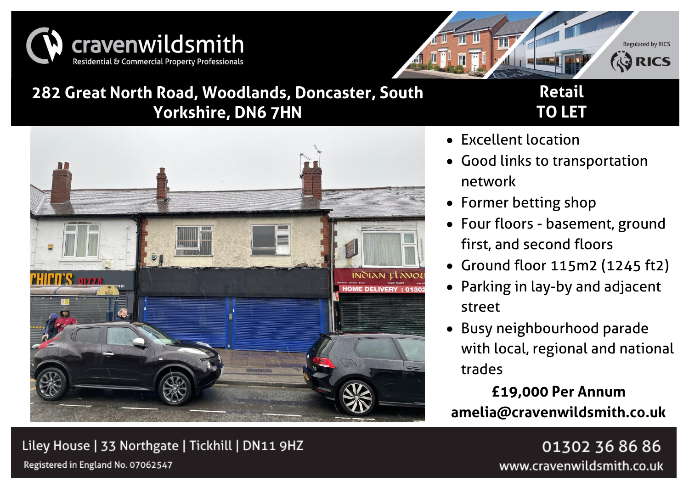



• Excellent location

network

## **282 Great North Road, Woodlands, Doncaster, South Yorkshire, DN6 7HN**

# **Retail TO LET**



# Liley House | 33 Northgate | Tickhill | DN11 9HZ

01302 36 86 86 www.cravenwildsmith.co.uk

Registered in England No. 07062547

• Former betting shop • Four floors - basement, ground

• Good links to transportation

first, and second floors

- Ground floor 115m2 (1245 ft2)
- Parking in lay-by and adjacent street
- Busy neighbourhood parade with local, regional and national trades

**£19,000 Per Annum amelia@cravenwildsmith.co.uk**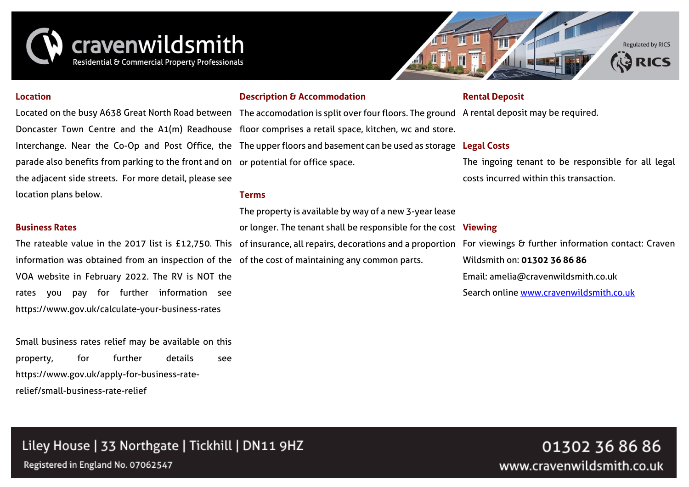



#### **Location**

parade also benefits from parking to the front and on or potential for office space. the adjacent side streets. For more detail, please see location plans below.

#### **Business Rates**

information was obtained from an inspection of the of the cost of maintaining any common parts. VOA website in February 2022. The RV is NOT the rates you pay for further information see https://www.gov.uk/calculate-your-business-rates

Small business rates relief may be available on this property, for further details see https://www.gov.uk/apply-for-business-raterelief/small-business-rate-relief

#### **Description & Accommodation**

#### **Rental Deposit**

Located on the busy A638 Great North Road between The accomodation is split over four floors. The ground A rental deposit may be required. Doncaster Town Centre and the A1(m) Readhouse floor comprises a retail space, kitchen, wc and store. Interchange. Near the Co-Op and Post Office, the The upper floors and basement can be used as storage **Legal Costs** The ingoing tenant to be responsible for all legal costs incurred within this transaction.

#### **Terms**

The rateable value in the 2017 list is £12,750. This of insurance, all repairs, decorations and a proportion For viewings & further information contact: Craven The property is available by way of a new 3-year lease or longer. The tenant shall be responsible for the cost **Viewing**

Wildsmith on: **01302 36 86 86** Email: amelia@cravenwildsmith.co.uk Search onlin[e www.cravenwildsmith.co.uk](http://www.cravenwildsmith.co.uk/)

### Liley House | 33 Northgate | Tickhill | DN11 9HZ

Registered in England No. 07062547

01302 36 86 86 www.cravenwildsmith.co.uk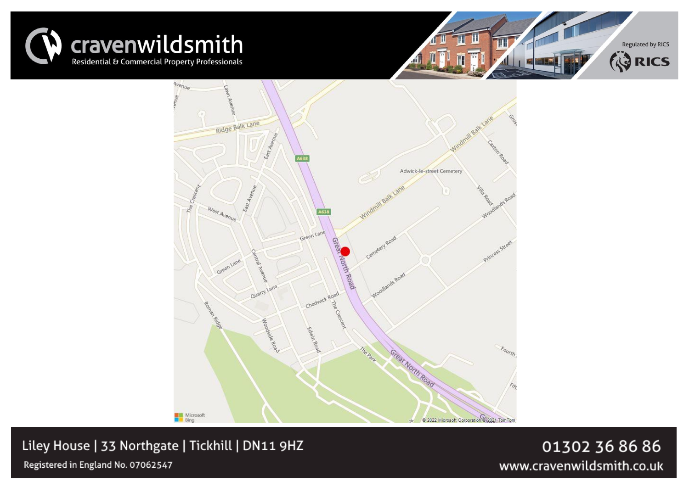





Liley House | 33 Northgate | Tickhill | DN11 9HZ

Registered in England No. 07062547

01302 36 86 86 www.cravenwildsmith.co.uk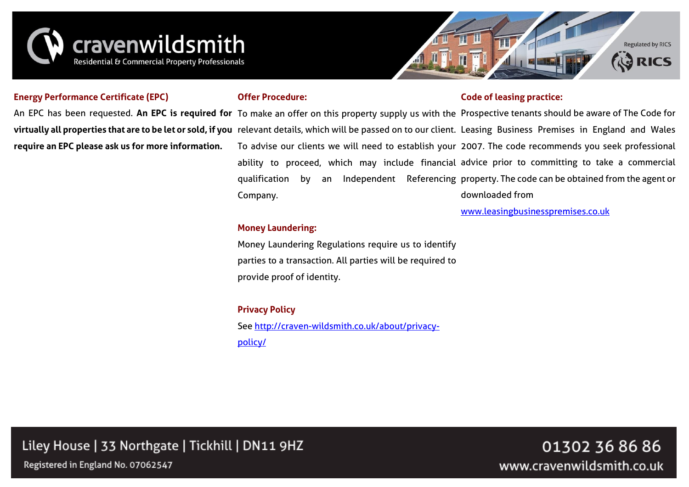



#### **Energy Performance Certificate (EPC)**

#### **Offer Procedure:**

#### **Code of leasing practice:**

An EPC has been requested. **An EPC is required for** To make an offer on this property supply us with the Prospective tenants should be aware of The Code for **virtually all properties that are to be let or sold, if you** relevant details, which will be passed on to our client. Leasing Business Premises in England and Wales **require an EPC please ask us for more information.** To advise our clients we will need to establish your 2007. The code recommends you seek professional ability to proceed, which may include financial advice prior to committing to take a commercial qualification by an Independent Referencing property. The code can be obtained from the agent or downloaded from

Company.

[www.leasingbusinesspremises.co.uk](http://www.leasingbusinesspremises.co.uk/)

#### **Money Laundering:**

Money Laundering Regulations require us to identify parties to a transaction. All parties will be required to provide proof of identity.

#### **Privacy Policy**

See [http://craven-wildsmith.co.uk/about/privacy](http://craven-wildsmith.co.uk/about/privacy-policy/)[policy/](http://craven-wildsmith.co.uk/about/privacy-policy/)

Liley House | 33 Northgate | Tickhill | DN11 9HZ

Registered in England No. 07062547

01302 36 86 86 www.cravenwildsmith.co.uk